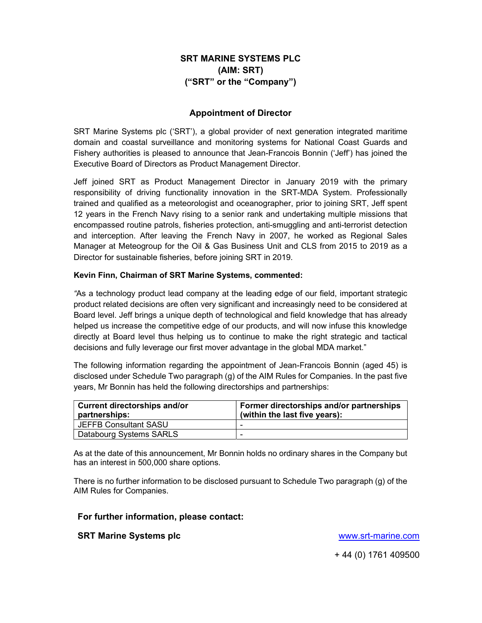# SRT MARINE SYSTEMS PLC (AIM: SRT) ("SRT" or the "Company")

### Appointment of Director

SRT Marine Systems plc ('SRT'), a global provider of next generation integrated maritime domain and coastal surveillance and monitoring systems for National Coast Guards and Fishery authorities is pleased to announce that Jean-Francois Bonnin ('Jeff') has joined the Executive Board of Directors as Product Management Director.

Jeff joined SRT as Product Management Director in January 2019 with the primary responsibility of driving functionality innovation in the SRT-MDA System. Professionally trained and qualified as a meteorologist and oceanographer, prior to joining SRT, Jeff spent 12 years in the French Navy rising to a senior rank and undertaking multiple missions that encompassed routine patrols, fisheries protection, anti-smuggling and anti-terrorist detection and interception. After leaving the French Navy in 2007, he worked as Regional Sales Manager at Meteogroup for the Oil & Gas Business Unit and CLS from 2015 to 2019 as a Director for sustainable fisheries, before joining SRT in 2019.

#### Kevin Finn, Chairman of SRT Marine Systems, commented:

"As a technology product lead company at the leading edge of our field, important strategic product related decisions are often very significant and increasingly need to be considered at Board level. Jeff brings a unique depth of technological and field knowledge that has already helped us increase the competitive edge of our products, and will now infuse this knowledge directly at Board level thus helping us to continue to make the right strategic and tactical decisions and fully leverage our first mover advantage in the global MDA market."

The following information regarding the appointment of Jean-Francois Bonnin (aged 45) is disclosed under Schedule Two paragraph (g) of the AIM Rules for Companies. In the past five years, Mr Bonnin has held the following directorships and partnerships:

| <b>Current directorships and/or</b><br>partnerships: | Former directorships and/or partnerships<br>(within the last five years): |
|------------------------------------------------------|---------------------------------------------------------------------------|
| <b>JEFFB Consultant SASU</b>                         |                                                                           |
| Databourg Systems SARLS                              |                                                                           |

As at the date of this announcement, Mr Bonnin holds no ordinary shares in the Company but has an interest in 500,000 share options.

There is no further information to be disclosed pursuant to Schedule Two paragraph (g) of the AIM Rules for Companies.

#### For further information, please contact:

#### SRT Marine Systems plc **SRT Marine.com**